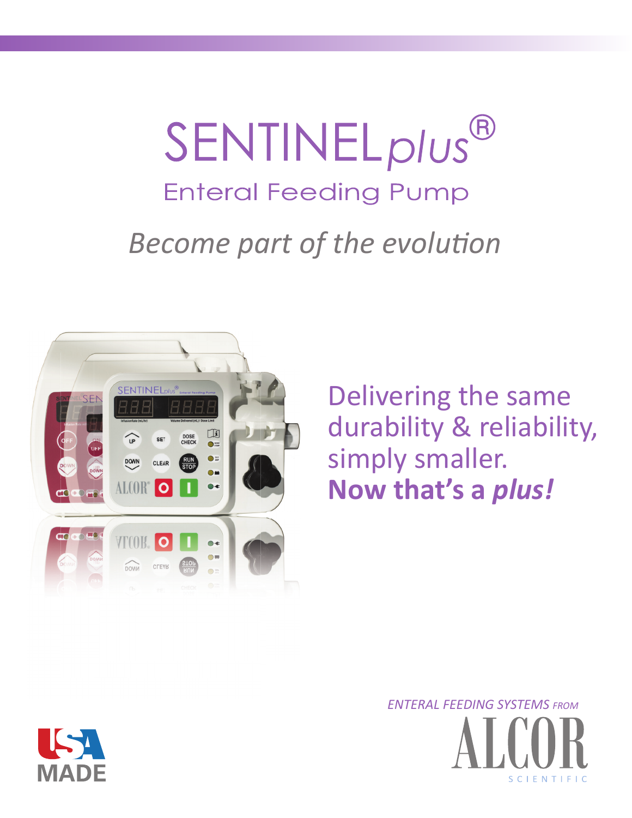# SENTINEL<sub>plus</sub>® **Enteral Feeding Pump** *Become part of the evolution*



Delivering the same durability & reliability, simply smaller. **Now that's a** *plus!*